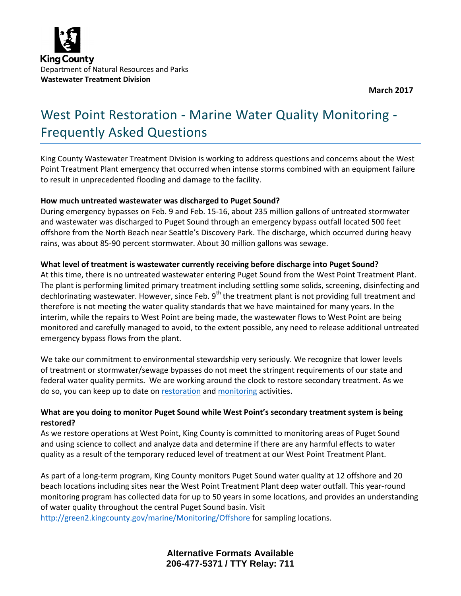

**March 2017**

# West Point Restoration - Marine Water Quality Monitoring - Frequently Asked Questions

King County Wastewater Treatment Division is working to address questions and concerns about the West Point Treatment Plant emergency that occurred when intense storms combined with an equipment failure to result in unprecedented flooding and damage to the facility.

#### **How much untreated wastewater was discharged to Puget Sound?**

During emergency bypasses on Feb. 9 and Feb. 15-16, about 235 million gallons of untreated stormwater and wastewater was discharged to Puget Sound through an emergency bypass outfall located 500 feet offshore from the North Beach near Seattle's Discovery Park. The discharge, which occurred during heavy rains, was about 85-90 percent stormwater. About 30 million gallons was sewage.

## **What level of treatment is wastewater currently receiving before discharge into Puget Sound?**

At this time, there is no untreated wastewater entering Puget Sound from the West Point Treatment Plant. The plant is performing limited primary treatment including settling some solids, screening, disinfecting and dechlorinating wastewater. However, since Feb.  $9<sup>th</sup>$  the treatment plant is not providing full treatment and therefore is not meeting the water quality standards that we have maintained for many years. In the interim, while the repairs to West Point are being made, the wastewater flows to West Point are being monitored and carefully managed to avoid, to the extent possible, any need to release additional untreated emergency bypass flows from the plant.

We take our commitment to environmental stewardship very seriously. We recognize that lower levels of treatment or stormwater/sewage bypasses do not meet the stringent requirements of our state and federal water quality permits. We are working around the clock to restore secondary treatment. As we do so, you can keep up to date o[n restoration](http://www.kingcounty.gov/depts/dnrp/wtd/system/west/west-point-restoration.aspx) an[d monitoring](http://www.kingcounty.gov/depts/dnrp/wtd/system/west/west-point-restoration/marine-monitoring.aspx) activities.

# **What are you doing to monitor Puget Sound while West Point's secondary treatment system is being restored?**

As we restore operations at West Point, King County is committed to monitoring areas of Puget Sound and using science to collect and analyze data and determine if there are any harmful effects to water quality as a result of the temporary reduced level of treatment at our West Point Treatment Plant.

As part of a long-term program, King County monitors Puget Sound water quality at 12 offshore and 20 beach locations including sites near the West Point Treatment Plant deep water outfall. This year-round monitoring program has collected data for up to 50 years in some locations, and provides an understanding of water quality throughout the central Puget Sound basin. Visit

<http://green2.kingcounty.gov/marine/Monitoring/Offshore> for sampling locations.

**Alternative Formats Available 206-477-5371 / TTY Relay: 711**